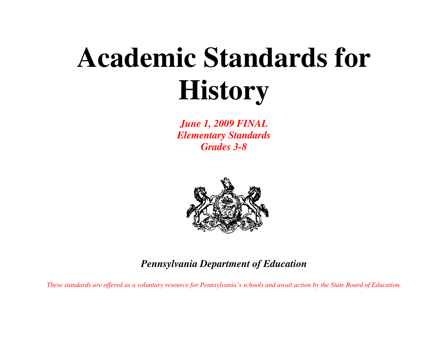# **Academic Standards for History**

*June 1, 2009 FINAL Elementary Standards Grades 3-8* 



*Pennsylvania Department of Education* 

*These standards are offered as a voluntary resource for Pennsylvania's schools and await action by the State Board of Education.*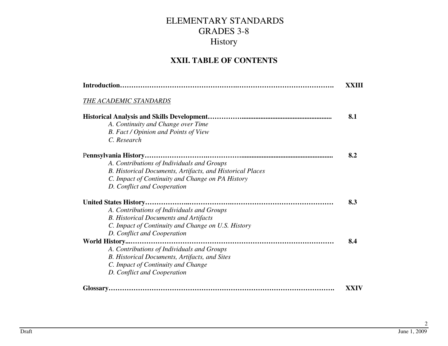#### **XXII. TABLE OF CONTENTS**

|                                                           | XXIII |
|-----------------------------------------------------------|-------|
| <u>THE ACADEMIC STANDARDS</u>                             |       |
|                                                           | 8.1   |
| A. Continuity and Change over Time                        |       |
| B. Fact / Opinion and Points of View                      |       |
| C. Research                                               |       |
|                                                           | 8.2   |
| A. Contributions of Individuals and Groups                |       |
| B. Historical Documents, Artifacts, and Historical Places |       |
| C. Impact of Continuity and Change on PA History          |       |
| D. Conflict and Cooperation                               |       |
|                                                           | 8.3   |
| A. Contributions of Individuals and Groups                |       |
| <b>B.</b> Historical Documents and Artifacts              |       |
| C. Impact of Continuity and Change on U.S. History        |       |
| D. Conflict and Cooperation                               |       |
|                                                           | 8.4   |
| A. Contributions of Individuals and Groups                |       |
| B. Historical Documents, Artifacts, and Sites             |       |
| C. Impact of Continuity and Change                        |       |
| D. Conflict and Cooperation                               |       |
| Glossary                                                  | XXIV  |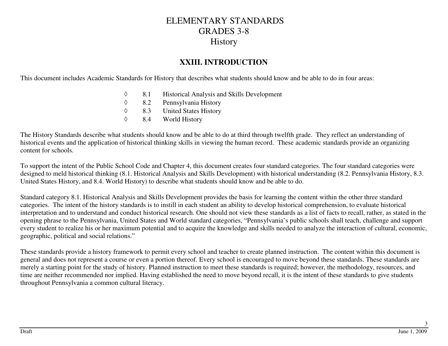#### **XXIII. INTRODUCTION**

This document includes Academic Standards for History that describes what students should know and be able to do in four areas:

- ◊8.1 Historical Analysis and Skills Development<br>8.2 Pennsylvania History
- ◊8.2 Pennsylvania History<br>8.3 United States History
- ◊8.3 United States History<br>8.4 World History
- ◊World History

The History Standards describe what students should know and be able to do at third through twelfth grade. They reflect an understanding of historical events and the application of historical thinking skills in viewing the human record. These academic standards provide an organizing content for schools.

To support the intent of the Public School Code and Chapter 4, this document creates four standard categories. The four standard categories were designed to meld historical thinking (8.1. Historical Analysis and Skills Development) with historical understanding (8.2. Pennsylvania History, 8.3. United States History, and 8.4. World History) to describe what students should know and be able to do.

Standard category 8.1. Historical Analysis and Skills Development provides the basis for learning the content within the other three standard categories. The intent of the history standards is to instill in each student an ability to develop historical comprehension, to evaluate historical interpretation and to understand and conduct historical research. One should not view these standards as a list of facts to recall, rather, as stated in the opening phrase to the Pennsylvania, United States and World standard categories, "Pennsylvania's public schools shall teach, challenge and support every student to realize his or her maximum potential and to acquire the knowledge and skills needed to analyze the interaction of cultural, economic, geographic, political and social relations."

These standards provide a history framework to permit every school and teacher to create planned instruction. The content within this document is general and does not represent a course or even a portion thereof. Every school is encouraged to move beyond these standards. These standards are merely a starting point for the study of history. Planned instruction to meet these standards is required; however, the methodology, resources, and time are neither recommended nor implied. Having established the need to move beyond recall, it is the intent of these standards to give students throughout Pennsylvania a common cultural literacy.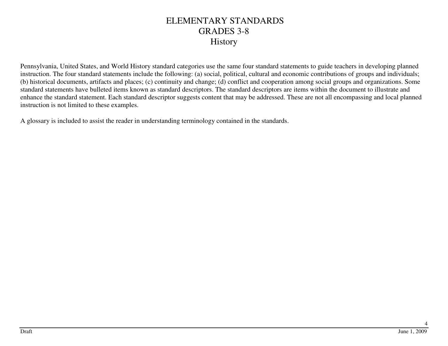Pennsylvania, United States, and World History standard categories use the same four standard statements to guide teachers in developing planned instruction. The four standard statements include the following: (a) social, political, cultural and economic contributions of groups and individuals; (b) historical documents, artifacts and places; (c) continuity and change; (d) conflict and cooperation among social groups and organizations. Some standard statements have bulleted items known as standard descriptors. The standard descriptors are items within the document to illustrate and enhance the standard statement. Each standard descriptor suggests content that may be addressed. These are not all encompassing and local planned instruction is not limited to these examples.

A glossary is included to assist the reader in understanding terminology contained in the standards.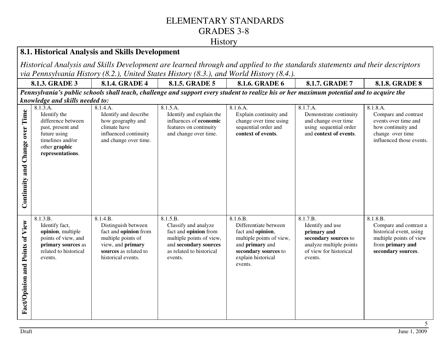#### **History**

#### **8.1. Historical Analysis and Skills Development**

*Historical Analysis and Skills Development are learned through and applied to the standards statements and their descriptors via Pennsylvania History (8.2.), United States History (8.3.), and World History (8.4.).*

**8.1.3. GRADE 3** 8.1.4. GRADE 4 8.1.5. GRADE 5 8.1.6. GRADE 6 8.1.7. GRADE 7 **8.1.8. GRADE 8** 

*Pennsylvania's public schools shall teach, challenge and support every student to realize his or her maximum potential and to acquire the knowledge and skills needed to:*

|                  | 8.1.3.A.              | 8.1.4.A.              | 8.1.5.A.                 | 8.1.6.A.                 | 8.1.7.A.                | 8.1.8.A.                 |
|------------------|-----------------------|-----------------------|--------------------------|--------------------------|-------------------------|--------------------------|
|                  | Identify the          | Identify and describe | Identify and explain the | Explain continuity and   | Demonstrate continuity  | Compare and contrast     |
| Time             | difference between    | how geography and     | influences of economic   | change over time using   | and change over time    | events over time and     |
|                  | past, present and     | climate have          | features on continuity   | sequential order and     | using sequential order  | how continuity and       |
|                  |                       |                       |                          | context of events.       | and context of events.  |                          |
|                  | future using          | influenced continuity | and change over time.    |                          |                         | change over time         |
| Change over      | timelines and/or      | and change over time. |                          |                          |                         | influenced those events. |
|                  | other graphic         |                       |                          |                          |                         |                          |
|                  | representations.      |                       |                          |                          |                         |                          |
|                  |                       |                       |                          |                          |                         |                          |
|                  |                       |                       |                          |                          |                         |                          |
| and              |                       |                       |                          |                          |                         |                          |
|                  |                       |                       |                          |                          |                         |                          |
|                  |                       |                       |                          |                          |                         |                          |
|                  |                       |                       |                          |                          |                         |                          |
| Continuity       |                       |                       |                          |                          |                         |                          |
|                  |                       |                       |                          |                          |                         |                          |
|                  |                       |                       |                          |                          |                         |                          |
|                  |                       |                       |                          |                          |                         |                          |
|                  |                       |                       |                          |                          |                         |                          |
|                  |                       |                       |                          |                          |                         |                          |
|                  | 8.1.3.B.              | 8.1.4.B.              | 8.1.5.B.                 | 8.1.6.B.                 | 8.1.7.B.                | 8.1.8.B.                 |
|                  | Identify fact,        | Distinguish between   | Classify and analyze     | Differentiate between    | Identify and use        | Compare and contrast a   |
| View             | opinion, multiple     | fact and opinion from | fact and opinion from    | fact and opinion,        | primary and             | historical event, using  |
|                  | points of view, and   | multiple points of    | multiple points of view, | multiple points of view, | secondary sources to    | multiple points of view  |
| $\mathbf{d}$     |                       |                       |                          |                          |                         |                          |
|                  | primary sources as    | view, and primary     | and secondary sources    | and primary and          | analyze multiple points | from primary and         |
|                  | related to historical | sources as related to | as related to historical | secondary sources to     | of view for historical  | secondary sources.       |
| Points           | events.               | historical events.    | events.                  | explain historical       | events.                 |                          |
|                  |                       |                       |                          | events.                  |                         |                          |
|                  |                       |                       |                          |                          |                         |                          |
|                  |                       |                       |                          |                          |                         |                          |
|                  |                       |                       |                          |                          |                         |                          |
|                  |                       |                       |                          |                          |                         |                          |
|                  |                       |                       |                          |                          |                         |                          |
|                  |                       |                       |                          |                          |                         |                          |
|                  |                       |                       |                          |                          |                         |                          |
| Fact/Opinion and |                       |                       |                          |                          |                         |                          |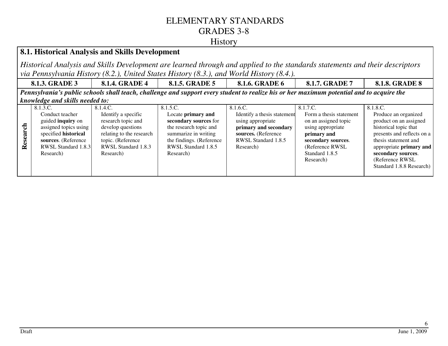#### **History**

#### **8.1. Historical Analysis and Skills Development**

*Historical Analysis and Skills Development are learned through and applied to the standards statements and their descriptors via Pennsylvania History (8.2.), United States History (8.3.), and World History (8.4.).*

**8.1.3. GRADE 3** 8.1.4. GRADE 4 8.1.5. GRADE 5 8.1.6. GRADE 6 8.1.7. GRADE 7 **8.1.8. GRADE 8** 

*Pennsylvania's public schools shall teach, challenge and support every student to realize his or her maximum potential and to acquire the knowledge and skills needed to:*

|                | 8.1.3.C.                    | 8.1.4.C.                 | 8.1.5.C.                 | 8.1.6.C.                    | 8.1.7.C.                | 8.1.8.C.                       |
|----------------|-----------------------------|--------------------------|--------------------------|-----------------------------|-------------------------|--------------------------------|
|                | Conduct teacher             | Identify a specific      | Locate primary and       | Identify a thesis statement | Form a thesis statement | Produce an organized           |
|                | guided <b>inquiry</b> on    | research topic and       | secondary sources for    | using appropriate           | on an assigned topic    | product on an assigned         |
| $\overline{c}$ | assigned topics using       | develop questions        | the research topic and   | primary and secondary       | using appropriate       | historical topic that          |
|                | specified <b>historical</b> | relating to the research | summarize in writing     | sources. (Reference         | primary and             | presents and reflects on a     |
| Resear         | sources. (Reference         | topic. (Reference        | the findings. (Reference | RWSL Standard 1.8.5         | secondary sources.      | thesis statement and           |
|                | RWSL Standard 1.8.3         | RWSL Standard 1.8.3      | RWSL Standard 1.8.5      | Research)                   | (Reference RWSL)        | appropriate <b>primary</b> and |
|                | Research)                   | Research)                | Research)                |                             | Standard 1.8.5          | secondary sources.             |
|                |                             |                          |                          |                             | Research)               | (Reference RWSL)               |
|                |                             |                          |                          |                             |                         | Standard 1.8.8 Research)       |
|                |                             |                          |                          |                             |                         |                                |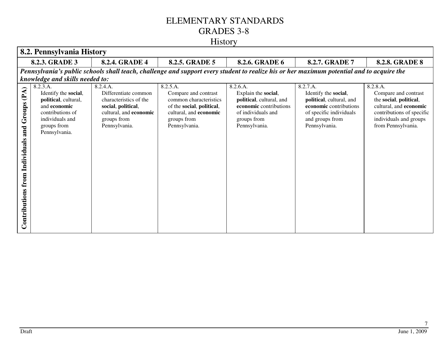# History

|                                                               | 8.2. Pennsylvania History                                                                                                                                                    |                                                                                                                                            |                                                                                                                                                   |                                                                                                                                             |                                                                                                                                                       |                                                                                                                                                                   |  |
|---------------------------------------------------------------|------------------------------------------------------------------------------------------------------------------------------------------------------------------------------|--------------------------------------------------------------------------------------------------------------------------------------------|---------------------------------------------------------------------------------------------------------------------------------------------------|---------------------------------------------------------------------------------------------------------------------------------------------|-------------------------------------------------------------------------------------------------------------------------------------------------------|-------------------------------------------------------------------------------------------------------------------------------------------------------------------|--|
|                                                               | 8.2.3. GRADE 3                                                                                                                                                               | 8.2.4. GRADE 4                                                                                                                             | 8.2.5. GRADE 5                                                                                                                                    | 8.2.6. GRADE 6                                                                                                                              | 8.2.7. GRADE 7                                                                                                                                        | <b>8.2.8. GRADE 8</b>                                                                                                                                             |  |
|                                                               | Pennsylvania's public schools shall teach, challenge and support every student to realize his or her maximum potential and to acquire the<br>knowledge and skills needed to: |                                                                                                                                            |                                                                                                                                                   |                                                                                                                                             |                                                                                                                                                       |                                                                                                                                                                   |  |
| (PA)<br>Groups<br>and<br>Individuals<br>from<br>Contributions | 8.2.3.A.<br>Identify the social,<br>political, cultural,<br>and economic<br>contributions of<br>individuals and<br>groups from<br>Pennsylvania.                              | 8.2.4.A.<br>Differentiate common<br>characteristics of the<br>social, political,<br>cultural, and economic<br>groups from<br>Pennsylvania. | 8.2.5.A.<br>Compare and contrast<br>common characteristics<br>of the social, political,<br>cultural, and economic<br>groups from<br>Pennsylvania. | 8.2.6.A.<br>Explain the social,<br>political, cultural, and<br>economic contributions<br>of individuals and<br>groups from<br>Pennsylvania. | 8.2.7.A.<br>Identify the social,<br>political, cultural, and<br>economic contributions<br>of specific individuals<br>and groups from<br>Pennsylvania. | 8.2.8.A.<br>Compare and contrast<br>the social, political,<br>cultural, and economic<br>contributions of specific<br>individuals and groups<br>from Pennsylvania. |  |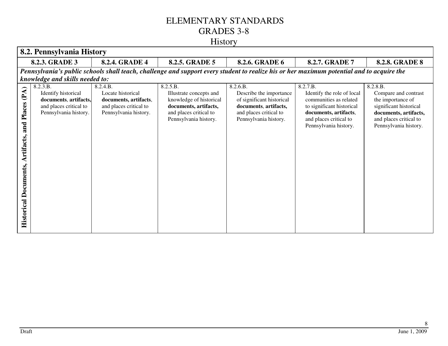|                          | 8.2. Pennsylvania History                                                                                                                      |                                                                                                           |                                                                                                                                            |                                                                                                                                              |                                                                                                                                                                           |                                                                                                                                                             |
|--------------------------|------------------------------------------------------------------------------------------------------------------------------------------------|-----------------------------------------------------------------------------------------------------------|--------------------------------------------------------------------------------------------------------------------------------------------|----------------------------------------------------------------------------------------------------------------------------------------------|---------------------------------------------------------------------------------------------------------------------------------------------------------------------------|-------------------------------------------------------------------------------------------------------------------------------------------------------------|
|                          | 8.2.3. GRADE 3                                                                                                                                 | 8.2.4. GRADE 4                                                                                            | 8.2.5. GRADE 5                                                                                                                             | 8.2.6. GRADE 6                                                                                                                               | 8.2.7. GRADE 7                                                                                                                                                            | <b>8.2.8. GRADE 8</b>                                                                                                                                       |
|                          |                                                                                                                                                |                                                                                                           | Pennsylvania's public schools shall teach, challenge and support every student to realize his or her maximum potential and to acquire the  |                                                                                                                                              |                                                                                                                                                                           |                                                                                                                                                             |
| (PA)<br>Places<br>and    | knowledge and skills needed to:<br>8.2.3.B.<br>Identify historical<br>documents, artifacts,<br>and places critical to<br>Pennsylvania history. | 8.2.4.B.<br>Locate historical<br>documents, artifacts,<br>and places critical to<br>Pennsylvania history. | 8.2.5.B.<br>Illustrate concepts and<br>knowledge of historical<br>documents, artifacts,<br>and places critical to<br>Pennsylvania history. | 8.2.6.B.<br>Describe the importance<br>of significant historical<br>documents, artifacts,<br>and places critical to<br>Pennsylvania history. | 8.2.7.B.<br>Identify the role of local<br>communities as related<br>to significant historical<br>documents, artifacts,<br>and places critical to<br>Pennsylvania history. | 8.2.8.B.<br>Compare and contrast<br>the importance of<br>significant historical<br>documents, artifacts,<br>and places critical to<br>Pennsylvania history. |
| Artifacts,<br>Documents, |                                                                                                                                                |                                                                                                           |                                                                                                                                            |                                                                                                                                              |                                                                                                                                                                           |                                                                                                                                                             |
| <b>Historical</b>        |                                                                                                                                                |                                                                                                           |                                                                                                                                            |                                                                                                                                              |                                                                                                                                                                           |                                                                                                                                                             |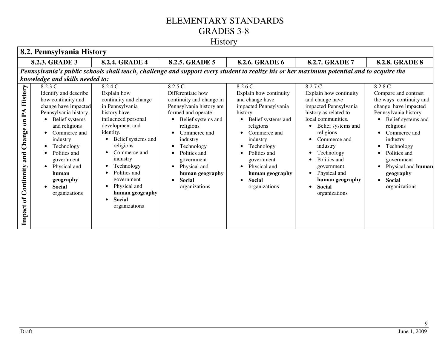| 8.2. Pennsylvania History                                                                                           |                                                                                                                                                                                                                                                                                             |                                                                                                                                                                                                                                                                                                                            |                                                                                                                                                                                                                                                                                              |                                                                                                                                                                                                                                                                                         |                                                                                                                                                                                                                                                                                                                                                                   |                                                                                                                                                                                                                                                                                              |
|---------------------------------------------------------------------------------------------------------------------|---------------------------------------------------------------------------------------------------------------------------------------------------------------------------------------------------------------------------------------------------------------------------------------------|----------------------------------------------------------------------------------------------------------------------------------------------------------------------------------------------------------------------------------------------------------------------------------------------------------------------------|----------------------------------------------------------------------------------------------------------------------------------------------------------------------------------------------------------------------------------------------------------------------------------------------|-----------------------------------------------------------------------------------------------------------------------------------------------------------------------------------------------------------------------------------------------------------------------------------------|-------------------------------------------------------------------------------------------------------------------------------------------------------------------------------------------------------------------------------------------------------------------------------------------------------------------------------------------------------------------|----------------------------------------------------------------------------------------------------------------------------------------------------------------------------------------------------------------------------------------------------------------------------------------------|
|                                                                                                                     | 8.2.3. GRADE 3                                                                                                                                                                                                                                                                              | <b>8.2.4. GRADE 4</b>                                                                                                                                                                                                                                                                                                      | 8.2.5. GRADE 5                                                                                                                                                                                                                                                                               | 8.2.6. GRADE 6                                                                                                                                                                                                                                                                          | 8.2.7. GRADE 7                                                                                                                                                                                                                                                                                                                                                    | <b>8.2.8. GRADE 8</b>                                                                                                                                                                                                                                                                        |
|                                                                                                                     |                                                                                                                                                                                                                                                                                             |                                                                                                                                                                                                                                                                                                                            |                                                                                                                                                                                                                                                                                              | Pennsylvania's public schools shall teach, challenge and support every student to realize his or her maximum potential and to acquire the                                                                                                                                               |                                                                                                                                                                                                                                                                                                                                                                   |                                                                                                                                                                                                                                                                                              |
|                                                                                                                     | knowledge and skills needed to:                                                                                                                                                                                                                                                             |                                                                                                                                                                                                                                                                                                                            |                                                                                                                                                                                                                                                                                              |                                                                                                                                                                                                                                                                                         |                                                                                                                                                                                                                                                                                                                                                                   |                                                                                                                                                                                                                                                                                              |
| <b>History</b><br>${\bf P} {\bf A}$<br>$\overline{\mathbf{a}}$<br>Change<br>and<br>Continnity<br>$\sigma$<br>Impact | 8.2.3.C.<br>Identify and describe<br>how continuity and<br>change have impacted<br>Pennsylvania history.<br>Belief systems<br>and religions<br>Commerce and<br>industry<br>Technology<br>Politics and<br>government<br>Physical and<br>human<br>geography<br><b>Social</b><br>organizations | 8.2.4.C.<br>Explain how<br>continuity and change<br>in Pennsylvania<br>history have<br>influenced personal<br>development and<br>identity.<br>Belief systems and<br>religions<br>Commerce and<br>industry<br>Technology<br>Politics and<br>government<br>Physical and<br>human geography<br><b>Social</b><br>organizations | 8.2.5.C.<br>Differentiate how<br>continuity and change in<br>Pennsylvania history are<br>formed and operate.<br>Belief systems and<br>religions<br>Commerce and<br>industry<br>Technology<br>Politics and<br>government<br>Physical and<br>human geography<br><b>Social</b><br>organizations | 8.2.6.C.<br>Explain how continuity<br>and change have<br>impacted Pennsylvania<br>history.<br>Belief systems and<br>$\bullet$<br>religions<br>Commerce and<br>industry<br>Technology<br>Politics and<br>government<br>Physical and<br>human geography<br><b>Social</b><br>organizations | 8.2.7.C.<br>Explain how continuity<br>and change have<br>impacted Pennsylvania<br>history as related to<br>local communities.<br>Belief systems and<br>$\bullet$<br>religions<br>Commerce and<br>$\bullet$<br>industry<br>Technology<br>Politics and<br>government<br>Physical and<br>$\bullet$<br>human geography<br><b>Social</b><br>$\bullet$<br>organizations | 8.2.8.C.<br>Compare and contrast<br>the ways continuity and<br>change have impacted<br>Pennsylvania history.<br>Belief systems and<br>religions<br>Commerce and<br>industry<br>Technology<br>Politics and<br>government<br>Physical and human<br>geography<br><b>Social</b><br>organizations |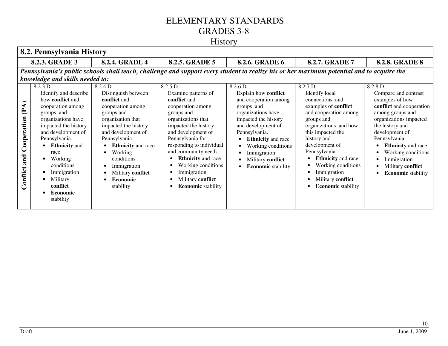#### History

|                                        | 8.2. Pennsylvania History                                                                                                                                                                                                                                                                                            |                                                                                                                                                                                                                                                                                                 |                                                                                                                                                                                                                                                                                                                                                    |                                                                                                                                                                                                                                                                                  |                                                                                                                                                                                                                                                                                                                                         |                                                                                                                                                                                                                                                                                                         |  |
|----------------------------------------|----------------------------------------------------------------------------------------------------------------------------------------------------------------------------------------------------------------------------------------------------------------------------------------------------------------------|-------------------------------------------------------------------------------------------------------------------------------------------------------------------------------------------------------------------------------------------------------------------------------------------------|----------------------------------------------------------------------------------------------------------------------------------------------------------------------------------------------------------------------------------------------------------------------------------------------------------------------------------------------------|----------------------------------------------------------------------------------------------------------------------------------------------------------------------------------------------------------------------------------------------------------------------------------|-----------------------------------------------------------------------------------------------------------------------------------------------------------------------------------------------------------------------------------------------------------------------------------------------------------------------------------------|---------------------------------------------------------------------------------------------------------------------------------------------------------------------------------------------------------------------------------------------------------------------------------------------------------|--|
|                                        | 8.2.3. GRADE 3                                                                                                                                                                                                                                                                                                       | <b>8.2.4. GRADE 4</b>                                                                                                                                                                                                                                                                           | 8.2.5. GRADE 5                                                                                                                                                                                                                                                                                                                                     | 8.2.6. GRADE 6                                                                                                                                                                                                                                                                   | <b>8.2.7. GRADE 7</b>                                                                                                                                                                                                                                                                                                                   | <b>8.2.8. GRADE 8</b>                                                                                                                                                                                                                                                                                   |  |
|                                        |                                                                                                                                                                                                                                                                                                                      |                                                                                                                                                                                                                                                                                                 |                                                                                                                                                                                                                                                                                                                                                    |                                                                                                                                                                                                                                                                                  | Pennsylvania's public schools shall teach, challenge and support every student to realize his or her maximum potential and to acquire the                                                                                                                                                                                               |                                                                                                                                                                                                                                                                                                         |  |
|                                        | knowledge and skills needed to:                                                                                                                                                                                                                                                                                      |                                                                                                                                                                                                                                                                                                 |                                                                                                                                                                                                                                                                                                                                                    |                                                                                                                                                                                                                                                                                  |                                                                                                                                                                                                                                                                                                                                         |                                                                                                                                                                                                                                                                                                         |  |
| (PA)<br>Cooperation<br>and<br>Conflict | 8.2.3.D.<br>Identify and describe<br>how <b>conflict</b> and<br>cooperation among<br>groups and<br>organizations have<br>impacted the history<br>and development of<br>Pennsylvania.<br><b>Ethnicity</b> and<br>race<br>Working<br>conditions<br>Immigration<br>Military<br>conflict<br><b>Economic</b><br>stability | 8.2.4.D.<br>Distinguish between<br>conflict and<br>cooperation among<br>groups and<br>organization that<br>impacted the history<br>and development of<br>Pennsylvania<br><b>Ethnicity</b> and race<br>Working<br>conditions<br>Immigration<br>Military conflict<br><b>Economic</b><br>stability | 8.2.5.D.<br>Examine patterns of<br>conflict and<br>cooperation among<br>groups and<br>organizations that<br>impacted the history<br>and development of<br>Pennsylvania for<br>responding to individual<br>and community needs.<br><b>Ethnicity</b> and race<br>Working conditions<br>Immigration<br>Military conflict<br><b>Economic</b> stability | 8.2.6.D.<br>Explain how conflict<br>and cooperation among<br>groups and<br>organizations have<br>impacted the history<br>and development of<br>Pennsylvania.<br><b>Ethnicity</b> and race<br>Working conditions<br>Immigration<br>Military conflict<br><b>Economic</b> stability | 8.2.7.D.<br>Identify local<br>connections and<br>examples of <b>conflict</b><br>and cooperation among<br>groups and<br>organizations and how<br>this impacted the<br>history and<br>development of<br>Pennsylvania.<br><b>Ethnicity</b> and race<br>Working conditions<br>Immigration<br>Military conflict<br><b>Economic</b> stability | 8.2.8.D.<br>Compare and contrast<br>examples of how<br>conflict and cooperation<br>among groups and<br>organizations impacted<br>the history and<br>development of<br>Pennsylvania.<br><b>Ethnicity</b> and race<br>Working conditions<br>Immigration<br>Military conflict<br><b>Economic</b> stability |  |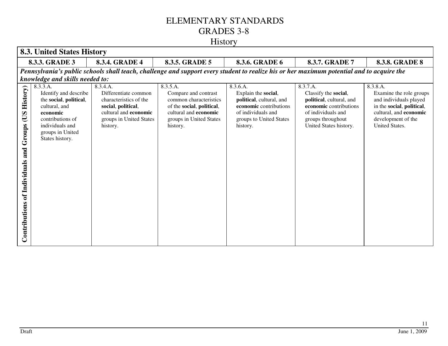# History

|                                                                            | <b>8.3. United States History</b>                                                                                                                                      |                                                                                                                                                  |                                                                                                                                                         |                                                                                                                                                    |                                                                                                                                                             |                                                                                                                                                              |  |
|----------------------------------------------------------------------------|------------------------------------------------------------------------------------------------------------------------------------------------------------------------|--------------------------------------------------------------------------------------------------------------------------------------------------|---------------------------------------------------------------------------------------------------------------------------------------------------------|----------------------------------------------------------------------------------------------------------------------------------------------------|-------------------------------------------------------------------------------------------------------------------------------------------------------------|--------------------------------------------------------------------------------------------------------------------------------------------------------------|--|
|                                                                            | 8.3.3. GRADE 3                                                                                                                                                         | 8.3.4. GRADE 4                                                                                                                                   | 8.3.5. GRADE 5                                                                                                                                          | 8.3.6. GRADE 6                                                                                                                                     | 8.3.7. GRADE 7                                                                                                                                              | <b>8.3.8. GRADE 8</b>                                                                                                                                        |  |
|                                                                            |                                                                                                                                                                        |                                                                                                                                                  |                                                                                                                                                         | Pennsylvania's public schools shall teach, challenge and support every student to realize his or her maximum potential and to acquire the          |                                                                                                                                                             |                                                                                                                                                              |  |
|                                                                            | knowledge and skills needed to:                                                                                                                                        |                                                                                                                                                  |                                                                                                                                                         |                                                                                                                                                    |                                                                                                                                                             |                                                                                                                                                              |  |
| <b>History</b> )<br>SO<br>Groups<br>and<br>of Individuals<br>Contributions | 8.3.3.A.<br>Identify and describe<br>the social, political,<br>cultural, and<br>economic<br>contributions of<br>individuals and<br>groups in United<br>States history. | 8.3.4.A.<br>Differentiate common<br>characteristics of the<br>social, political,<br>cultural and economic<br>groups in United States<br>history. | 8.3.5.A.<br>Compare and contrast<br>common characteristics<br>of the social, political,<br>cultural and economic<br>groups in United States<br>history. | 8.3.6.A.<br>Explain the social,<br>political, cultural, and<br>economic contributions<br>of individuals and<br>groups to United States<br>history. | 8.3.7.A.<br>Classify the social,<br>political, cultural, and<br>economic contributions<br>of individuals and<br>groups throughout<br>United States history. | 8.3.8.A.<br>Examine the role groups<br>and individuals played<br>in the social, political,<br>cultural, and economic<br>development of the<br>United States. |  |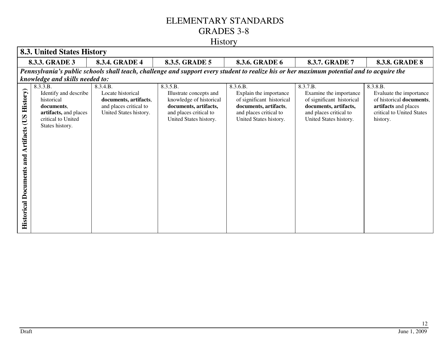|                                                                                            | <b>8.3. United States History</b>                                                                                               |                                                                                                            |                                                                                                                                             |                                                                                                                                              |                                                                                                                                              |                                                                                                                                  |
|--------------------------------------------------------------------------------------------|---------------------------------------------------------------------------------------------------------------------------------|------------------------------------------------------------------------------------------------------------|---------------------------------------------------------------------------------------------------------------------------------------------|----------------------------------------------------------------------------------------------------------------------------------------------|----------------------------------------------------------------------------------------------------------------------------------------------|----------------------------------------------------------------------------------------------------------------------------------|
|                                                                                            | 8.3.3. GRADE 3                                                                                                                  | 8.3.4. GRADE 4                                                                                             | 8.3.5. GRADE 5                                                                                                                              | 8.3.6. GRADE 6                                                                                                                               | 8.3.7. GRADE 7                                                                                                                               | <b>8.3.8. GRADE 8</b>                                                                                                            |
|                                                                                            |                                                                                                                                 |                                                                                                            |                                                                                                                                             |                                                                                                                                              | Pennsylvania's public schools shall teach, challenge and support every student to realize his or her maximum potential and to acquire the    |                                                                                                                                  |
|                                                                                            | knowledge and skills needed to:                                                                                                 |                                                                                                            |                                                                                                                                             |                                                                                                                                              |                                                                                                                                              |                                                                                                                                  |
| <b>History</b> )<br>SO<br><b>Artifacts</b><br>and<br><b>Documents</b><br><b>Historical</b> | 8.3.3.B.<br>Identify and describe<br>historical<br>documents.<br>artifacts, and places<br>critical to United<br>States history. | 8.3.4.B.<br>Locate historical<br>documents, artifacts,<br>and places critical to<br>United States history. | 8.3.5.B.<br>Illustrate concepts and<br>knowledge of historical<br>documents, artifacts,<br>and places critical to<br>United States history. | 8.3.6.B.<br>Explain the importance<br>of significant historical<br>documents, artifacts,<br>and places critical to<br>United States history. | 8.3.7.B.<br>Examine the importance<br>of significant historical<br>documents, artifacts,<br>and places critical to<br>United States history. | 8.3.8.B.<br>Evaluate the importance<br>of historical documents,<br>artifacts and places<br>critical to United States<br>history. |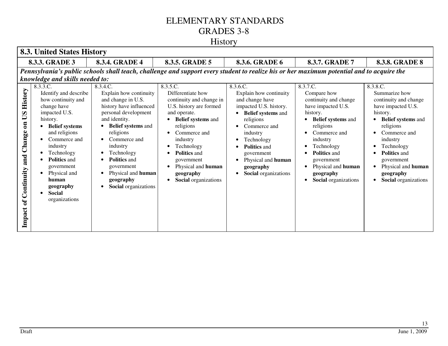# History

|                                                                                     | <b>8.3. United States History</b>                                                                                                                                                                                                                                                                                              |                                                                                                                                                                                                                                                                                                                         |                                                                                                                                                                                                                                                                                          |                                                                                                                                                                                                                                                                                                    |                                                                                                                                                                                                                                                                               |                                                                                                                                                                                                                                                                          |  |
|-------------------------------------------------------------------------------------|--------------------------------------------------------------------------------------------------------------------------------------------------------------------------------------------------------------------------------------------------------------------------------------------------------------------------------|-------------------------------------------------------------------------------------------------------------------------------------------------------------------------------------------------------------------------------------------------------------------------------------------------------------------------|------------------------------------------------------------------------------------------------------------------------------------------------------------------------------------------------------------------------------------------------------------------------------------------|----------------------------------------------------------------------------------------------------------------------------------------------------------------------------------------------------------------------------------------------------------------------------------------------------|-------------------------------------------------------------------------------------------------------------------------------------------------------------------------------------------------------------------------------------------------------------------------------|--------------------------------------------------------------------------------------------------------------------------------------------------------------------------------------------------------------------------------------------------------------------------|--|
|                                                                                     | 8.3.3. GRADE 3                                                                                                                                                                                                                                                                                                                 | 8.3.4. GRADE 4                                                                                                                                                                                                                                                                                                          | 8.3.5. GRADE 5                                                                                                                                                                                                                                                                           | 8.3.6. GRADE 6                                                                                                                                                                                                                                                                                     | 8.3.7. GRADE 7                                                                                                                                                                                                                                                                | <b>8.3.8. GRADE 8</b>                                                                                                                                                                                                                                                    |  |
|                                                                                     | knowledge and skills needed to:                                                                                                                                                                                                                                                                                                |                                                                                                                                                                                                                                                                                                                         |                                                                                                                                                                                                                                                                                          |                                                                                                                                                                                                                                                                                                    | Pennsylvania's public schools shall teach, challenge and support every student to realize his or her maximum potential and to acquire the                                                                                                                                     |                                                                                                                                                                                                                                                                          |  |
| History<br>$\mathbf{C}$<br>$\mathbf{a}$<br>Change<br>and<br>of Continuity<br>Impact | 8.3.3.C.<br>Identify and describe<br>how continuity and<br>change have<br>impacted U.S.<br>history.<br><b>Belief</b> systems<br>and religions<br>Commerce and<br>industry<br>Technology<br>$\bullet$<br><b>Politics and</b><br>government<br>Physical and<br>human<br>geography<br><b>Social</b><br>$\bullet$<br>organizations | 8.3.4.C.<br>Explain how continuity<br>and change in U.S.<br>history have influenced<br>personal development<br>and identity.<br><b>Belief systems and</b><br>religions<br>Commerce and<br>industry<br>Technology<br><b>Politics and</b><br>government<br>Physical and human<br>geography<br><b>Social</b> organizations | 8.3.5.C.<br>Differentiate how<br>continuity and change in<br>U.S. history are formed<br>and operate.<br><b>Belief systems and</b><br>religions<br>Commerce and<br>industry<br>Technology<br><b>Politics and</b><br>government<br>Physical and human<br>geography<br>Social organizations | 8.3.6.C.<br>Explain how continuity<br>and change have<br>impacted U.S. history.<br><b>Belief systems and</b><br>$\bullet$<br>religions<br>Commerce and<br>$\bullet$<br>industry<br>Technology<br>٠<br><b>Politics and</b><br>government<br>Physical and human<br>geography<br>Social organizations | 8.3.7.C.<br>Compare how<br>continuity and change<br>have impacted U.S.<br>history.<br><b>Belief systems and</b><br>religions<br>Commerce and<br>industry<br>Technology<br><b>Politics and</b><br>government<br>Physical and human<br>geography<br><b>Social</b> organizations | 8.3.8.C.<br>Summarize how<br>continuity and change<br>have impacted U.S.<br>history.<br><b>Belief systems and</b><br>religions<br>Commerce and<br>industry<br>Technology<br><b>Politics and</b><br>government<br>Physical and human<br>geography<br>Social organizations |  |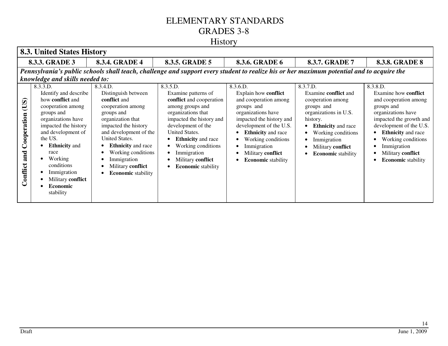|                                        | <b>8.3. United States History</b>                                                                                                                                                                                                                                                                    |                                                                                                                                                                                                                                                                                                        |                                                                                                                                                                                                                                                                                               |                                                                                                                                                                                                                                                                          |                                                                                                                                                                                                                              |                                                                                                                                                                                                                                                                                                          |
|----------------------------------------|------------------------------------------------------------------------------------------------------------------------------------------------------------------------------------------------------------------------------------------------------------------------------------------------------|--------------------------------------------------------------------------------------------------------------------------------------------------------------------------------------------------------------------------------------------------------------------------------------------------------|-----------------------------------------------------------------------------------------------------------------------------------------------------------------------------------------------------------------------------------------------------------------------------------------------|--------------------------------------------------------------------------------------------------------------------------------------------------------------------------------------------------------------------------------------------------------------------------|------------------------------------------------------------------------------------------------------------------------------------------------------------------------------------------------------------------------------|----------------------------------------------------------------------------------------------------------------------------------------------------------------------------------------------------------------------------------------------------------------------------------------------------------|
|                                        | 8.3.3. GRADE 3                                                                                                                                                                                                                                                                                       | 8.3.4. GRADE 4                                                                                                                                                                                                                                                                                         | 8.3.5. GRADE 5                                                                                                                                                                                                                                                                                | 8.3.6. GRADE 6                                                                                                                                                                                                                                                           | 8.3.7. GRADE 7                                                                                                                                                                                                               | <b>8.3.8. GRADE 8</b>                                                                                                                                                                                                                                                                                    |
|                                        | knowledge and skills needed to:                                                                                                                                                                                                                                                                      |                                                                                                                                                                                                                                                                                                        | Pennsylvania's public schools shall teach, challenge and support every student to realize his or her maximum potential and to acquire the                                                                                                                                                     |                                                                                                                                                                                                                                                                          |                                                                                                                                                                                                                              |                                                                                                                                                                                                                                                                                                          |
| (US)<br>Cooperation<br>and<br>Conflict | 8.3.3.D.<br>Identify and describe<br>how <b>conflict</b> and<br>cooperation among<br>groups and<br>organizations have<br>impacted the history<br>and development of<br>the US.<br><b>Ethnicity</b> and<br>race<br>Working<br>conditions<br>Immigration<br>Military conflict<br>Economic<br>stability | 8.3.4.D.<br>Distinguish between<br>conflict and<br>cooperation among<br>groups and<br>organization that<br>impacted the history<br>and development of the<br><b>United States.</b><br><b>Ethnicity</b> and race<br>Working conditions<br>Immigration<br>Military conflict<br><b>Economic</b> stability | 8.3.5.D.<br>Examine patterns of<br>conflict and cooperation<br>among groups and<br>organizations that<br>impacted the history and<br>development of the<br>United States.<br><b>Ethnicity</b> and race<br>Working conditions<br>Immigration<br>Military conflict<br><b>Economic</b> stability | 8.3.6.D.<br>Explain how conflict<br>and cooperation among<br>groups and<br>organizations have<br>impacted the history and<br>development of the U.S.<br><b>Ethnicity</b> and race<br>Working conditions<br>Immigration<br>Military conflict<br><b>Economic</b> stability | 8.3.7.D.<br>Examine conflict and<br>cooperation among<br>groups and<br>organizations in U.S.<br>history.<br><b>Ethnicity</b> and race<br>Working conditions<br>Immigration<br>Military conflict<br><b>Economic</b> stability | 8.3.8.D.<br>Examine how conflict<br>and cooperation among<br>groups and<br>organizations have<br>impacted the growth and<br>development of the U.S.<br><b>Ethnicity</b> and race<br>$\bullet$<br>Working conditions<br>٠<br>Immigration<br>٠<br>Military conflict<br>٠<br><b>Economic</b> stability<br>٠ |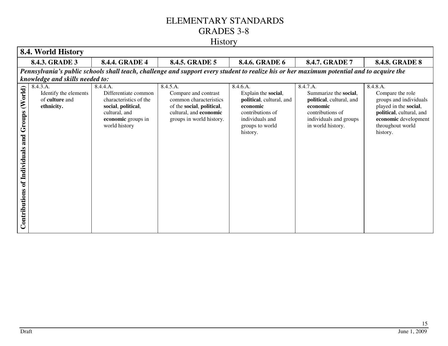|                                                             | 8.4. World History                                                |                                                                                                                                          |                                                                                                                                               |                                                                                                                                               |                                                                                                                                              |                                                                                                                                                                     |
|-------------------------------------------------------------|-------------------------------------------------------------------|------------------------------------------------------------------------------------------------------------------------------------------|-----------------------------------------------------------------------------------------------------------------------------------------------|-----------------------------------------------------------------------------------------------------------------------------------------------|----------------------------------------------------------------------------------------------------------------------------------------------|---------------------------------------------------------------------------------------------------------------------------------------------------------------------|
|                                                             | 8.4.3. GRADE 3                                                    | <b>8.4.4. GRADE 4</b>                                                                                                                    | <b>8.4.5. GRADE 5</b>                                                                                                                         | 8.4.6. GRADE 6                                                                                                                                | <b>8.4.7. GRADE 7</b>                                                                                                                        | <b>8.4.8. GRADE 8</b>                                                                                                                                               |
|                                                             |                                                                   |                                                                                                                                          | Pennsylvania's public schools shall teach, challenge and support every student to realize his or her maximum potential and to acquire the     |                                                                                                                                               |                                                                                                                                              |                                                                                                                                                                     |
|                                                             | knowledge and skills needed to:                                   |                                                                                                                                          |                                                                                                                                               |                                                                                                                                               |                                                                                                                                              |                                                                                                                                                                     |
| (World)<br>Groups<br>and<br>of Individuals<br>Contributions | 8.4.3.A.<br>Identify the elements<br>of culture and<br>ethnicity. | 8.4.4.A.<br>Differentiate common<br>characteristics of the<br>social, political,<br>cultural, and<br>economic groups in<br>world history | 8.4.5.A.<br>Compare and contrast<br>common characteristics<br>of the social, political,<br>cultural, and economic<br>groups in world history. | 8.4.6.A.<br>Explain the social,<br>political, cultural, and<br>economic<br>contributions of<br>individuals and<br>groups to world<br>history. | 8.4.7.A.<br>Summarize the social,<br>political, cultural, and<br>economic<br>contributions of<br>individuals and groups<br>in world history. | 8.4.8.A.<br>Compare the role<br>groups and individuals<br>played in the social,<br>political, cultural, and<br>economic development<br>throughout world<br>history. |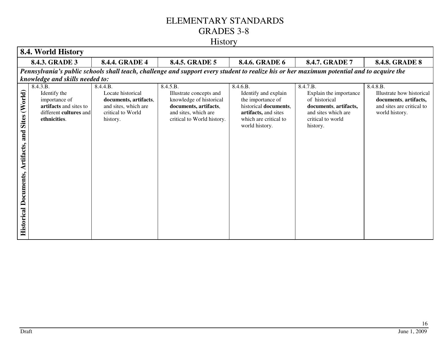| 8.4. World History                                                           |                                                                                                               |                                                                                                                 |                                                                                                                                               |                                                                                                                                                   |                                                                                                                                      |                                                                                                               |
|------------------------------------------------------------------------------|---------------------------------------------------------------------------------------------------------------|-----------------------------------------------------------------------------------------------------------------|-----------------------------------------------------------------------------------------------------------------------------------------------|---------------------------------------------------------------------------------------------------------------------------------------------------|--------------------------------------------------------------------------------------------------------------------------------------|---------------------------------------------------------------------------------------------------------------|
|                                                                              | 8.4.3. GRADE 3                                                                                                | <b>8.4.4. GRADE 4</b>                                                                                           | 8.4.5. GRADE 5                                                                                                                                | 8.4.6. GRADE 6                                                                                                                                    | 8.4.7. GRADE 7                                                                                                                       | <b>8.4.8. GRADE 8</b>                                                                                         |
|                                                                              |                                                                                                               |                                                                                                                 | Pennsylvania's public schools shall teach, challenge and support every student to realize his or her maximum potential and to acquire the     |                                                                                                                                                   |                                                                                                                                      |                                                                                                               |
|                                                                              | knowledge and skills needed to:                                                                               |                                                                                                                 |                                                                                                                                               |                                                                                                                                                   |                                                                                                                                      |                                                                                                               |
| (World)<br><b>Sites</b><br>and<br>Artifacts,<br><b>Historical Documents,</b> | 8.4.3.B.<br>Identify the<br>importance of<br>artifacts and sites to<br>different cultures and<br>ethnicities. | 8.4.4.B.<br>Locate historical<br>documents, artifacts,<br>and sites, which are<br>critical to World<br>history. | 8.4.5.B.<br>Illustrate concepts and<br>knowledge of historical<br>documents, artifacts,<br>and sites, which are<br>critical to World history. | 8.4.6.B.<br>Identify and explain<br>the importance of<br>historical documents,<br>artifacts, and sites<br>which are critical to<br>world history. | 8.4.7.B.<br>Explain the importance<br>of historical<br>documents, artifacts,<br>and sites which are<br>critical to world<br>history. | 8.4.8.B.<br>Illustrate how historical<br>documents, artifacts,<br>and sites are critical to<br>world history. |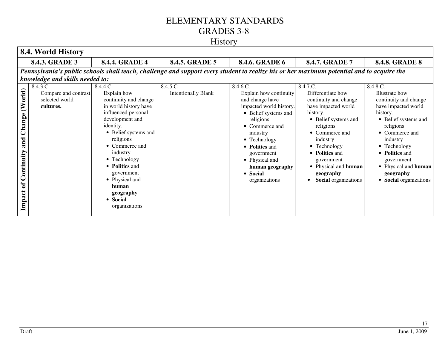# History

| 8.4. World History                                             |                                                                                                                                           |                                                                                                                                                                                                                                                                                                                          |                                        |                                                                                                                                                                                                                                                                       |                                                                                                                                                                                                                                                                           |                                                                                                                                                                                                                                                                          |
|----------------------------------------------------------------|-------------------------------------------------------------------------------------------------------------------------------------------|--------------------------------------------------------------------------------------------------------------------------------------------------------------------------------------------------------------------------------------------------------------------------------------------------------------------------|----------------------------------------|-----------------------------------------------------------------------------------------------------------------------------------------------------------------------------------------------------------------------------------------------------------------------|---------------------------------------------------------------------------------------------------------------------------------------------------------------------------------------------------------------------------------------------------------------------------|--------------------------------------------------------------------------------------------------------------------------------------------------------------------------------------------------------------------------------------------------------------------------|
| <b>8.4.4. GRADE 4</b><br>8.4.3. GRADE 3                        |                                                                                                                                           | 8.4.5. GRADE 5                                                                                                                                                                                                                                                                                                           | 8.4.6. GRADE 6                         | 8.4.7. GRADE 7                                                                                                                                                                                                                                                        | <b>8.4.8. GRADE 8</b>                                                                                                                                                                                                                                                     |                                                                                                                                                                                                                                                                          |
|                                                                | Pennsylvania's public schools shall teach, challenge and support every student to realize his or her maximum potential and to acquire the |                                                                                                                                                                                                                                                                                                                          |                                        |                                                                                                                                                                                                                                                                       |                                                                                                                                                                                                                                                                           |                                                                                                                                                                                                                                                                          |
|                                                                | knowledge and skills needed to:                                                                                                           |                                                                                                                                                                                                                                                                                                                          |                                        |                                                                                                                                                                                                                                                                       |                                                                                                                                                                                                                                                                           |                                                                                                                                                                                                                                                                          |
| (World)<br>Change<br>and<br>Continuity<br>$\sigma$ f<br>Impact | 8.4.3.C.<br>Compare and contrast<br>selected world<br>cultures.                                                                           | 8.4.4.C.<br>Explain how<br>continuity and change<br>in world history have<br>influenced personal<br>development and<br>identity.<br>• Belief systems and<br>religions<br>• Commerce and<br>industry<br>• Technology<br>• Politics and<br>government<br>• Physical and<br>human<br>geography<br>• Social<br>organizations | 8.4.5.C.<br><b>Intentionally Blank</b> | 8.4.6.C.<br>Explain how continuity<br>and change have<br>impacted world history.<br>• Belief systems and<br>religions<br>• Commerce and<br>industry<br>• Technology<br>• Politics and<br>government<br>• Physical and<br>human geography<br>• Social<br>organizations | 8.4.7.C.<br>Differentiate how<br>continuity and change<br>have impacted world<br>history.<br>• Belief systems and<br>religions<br>• Commerce and<br>industry<br>• Technology<br>• Politics and<br>government<br>• Physical and human<br>geography<br>Social organizations | 8.4.8.C.<br>Illustrate how<br>continuity and change<br>have impacted world<br>history.<br>• Belief systems and<br>religions<br>• Commerce and<br>industry<br>• Technology<br>• Politics and<br>government<br>• Physical and human<br>geography<br>• Social organizations |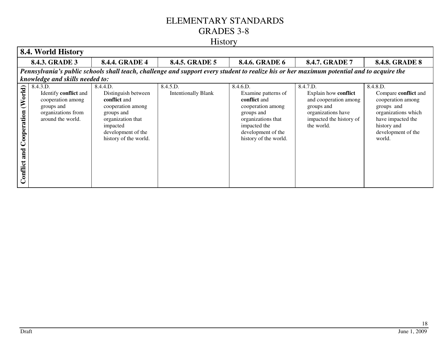| 8.4. World History                                                                                                                                                                                                                                                                                                                                                                                                                                                                                                                                                                                                                                                                                                                                                                                                                                                                                     |                                                                                                                                           |                |                |                |                       |  |
|--------------------------------------------------------------------------------------------------------------------------------------------------------------------------------------------------------------------------------------------------------------------------------------------------------------------------------------------------------------------------------------------------------------------------------------------------------------------------------------------------------------------------------------------------------------------------------------------------------------------------------------------------------------------------------------------------------------------------------------------------------------------------------------------------------------------------------------------------------------------------------------------------------|-------------------------------------------------------------------------------------------------------------------------------------------|----------------|----------------|----------------|-----------------------|--|
| 8.4.3. GRADE 3<br><b>8.4.4. GRADE 4</b>                                                                                                                                                                                                                                                                                                                                                                                                                                                                                                                                                                                                                                                                                                                                                                                                                                                                |                                                                                                                                           | 8.4.5. GRADE 5 | 8.4.6. GRADE 6 | 8.4.7. GRADE 7 | <b>8.4.8. GRADE 8</b> |  |
|                                                                                                                                                                                                                                                                                                                                                                                                                                                                                                                                                                                                                                                                                                                                                                                                                                                                                                        | Pennsylvania's public schools shall teach, challenge and support every student to realize his or her maximum potential and to acquire the |                |                |                |                       |  |
| knowledge and skills needed to:<br>8.4.3.D.<br>8.4.5.D.<br>8.4.6.D.<br>8.4.7.D.<br>8.4.8.D.<br>8.4.4.D.<br>(World)<br>Identify conflict and<br>Distinguish between<br><b>Intentionally Blank</b><br>Explain how conflict<br>Examine patterns of<br>Compare conflict and<br>conflict and<br>conflict and<br>and cooperation among<br>cooperation among<br>cooperation among<br>cooperation among<br>cooperation among<br>groups and<br>groups and<br>groups and<br>Cooperation<br>organizations from<br>organizations have<br>organizations which<br>groups and<br>groups and<br>around the world.<br>impacted the history of<br>have impacted the<br>organizations that<br>organization that<br>the world.<br>impacted the<br>history and<br>impacted<br>development of the<br>development of the<br>development of the<br>history of the world.<br>history of the world.<br>world.<br>and<br>Conflict |                                                                                                                                           |                |                |                |                       |  |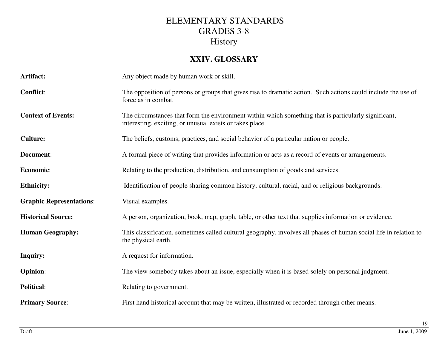#### **XXIV. GLOSSARY**

| Artifact:                       | Any object made by human work or skill.                                                                                                                          |  |  |  |
|---------------------------------|------------------------------------------------------------------------------------------------------------------------------------------------------------------|--|--|--|
| <b>Conflict:</b>                | The opposition of persons or groups that gives rise to dramatic action. Such actions could include the use of<br>force as in combat.                             |  |  |  |
| <b>Context of Events:</b>       | The circumstances that form the environment within which something that is particularly significant,<br>interesting, exciting, or unusual exists or takes place. |  |  |  |
| <b>Culture:</b>                 | The beliefs, customs, practices, and social behavior of a particular nation or people.                                                                           |  |  |  |
| Document:                       | A formal piece of writing that provides information or acts as a record of events or arrangements.                                                               |  |  |  |
| Economic:                       | Relating to the production, distribution, and consumption of goods and services.                                                                                 |  |  |  |
| <b>Ethnicity:</b>               | Identification of people sharing common history, cultural, racial, and or religious backgrounds.                                                                 |  |  |  |
| <b>Graphic Representations:</b> | Visual examples.                                                                                                                                                 |  |  |  |
| <b>Historical Source:</b>       | A person, organization, book, map, graph, table, or other text that supplies information or evidence.                                                            |  |  |  |
| <b>Human Geography:</b>         | This classification, sometimes called cultural geography, involves all phases of human social life in relation to<br>the physical earth.                         |  |  |  |
| <b>Inquiry:</b>                 | A request for information.                                                                                                                                       |  |  |  |
| <b>Opinion:</b>                 | The view somebody takes about an issue, especially when it is based solely on personal judgment.                                                                 |  |  |  |
| <b>Political:</b>               | Relating to government.                                                                                                                                          |  |  |  |
| <b>Primary Source:</b>          | First hand historical account that may be written, illustrated or recorded through other means.                                                                  |  |  |  |